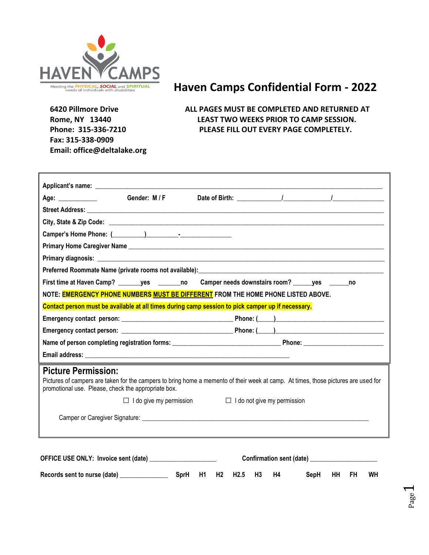

# **Haven Camps Confidential Form - 2022**

 **Fax: 315-338-0909 Email: office@deltalake.org** 

 **6420 Pillmore Drive ALL PAGES MUST BE COMPLETED AND RETURNED AT Rome, NY 13440 LEAST TWO WEEKS PRIOR TO CAMP SESSION. Phone: 315-336-7210 PLEASE FILL OUT EVERY PAGE COMPLETELY.**

| Age: $\qquad \qquad$                                                                                                                                                                                                           | Gender: M / F                                                                                                        |  | Date of Birth: The Material Material Material Material Material Material Material Material Material Material M |  |
|--------------------------------------------------------------------------------------------------------------------------------------------------------------------------------------------------------------------------------|----------------------------------------------------------------------------------------------------------------------|--|----------------------------------------------------------------------------------------------------------------|--|
|                                                                                                                                                                                                                                |                                                                                                                      |  |                                                                                                                |  |
|                                                                                                                                                                                                                                |                                                                                                                      |  |                                                                                                                |  |
|                                                                                                                                                                                                                                |                                                                                                                      |  |                                                                                                                |  |
| Primary Home Caregiver Name experience and the contract of the contract of the contract of the contract of the                                                                                                                 |                                                                                                                      |  |                                                                                                                |  |
|                                                                                                                                                                                                                                |                                                                                                                      |  |                                                                                                                |  |
|                                                                                                                                                                                                                                |                                                                                                                      |  |                                                                                                                |  |
| First time at Haven Camp? ves no Camper needs downstairs room? ves no                                                                                                                                                          |                                                                                                                      |  |                                                                                                                |  |
| NOTE: EMERGENCY PHONE NUMBERS MUST BE DIFFERENT FROM THE HOME PHONE LISTED ABOVE.                                                                                                                                              |                                                                                                                      |  |                                                                                                                |  |
| Contact person must be available at all times during camp session to pick camper up if necessary.                                                                                                                              |                                                                                                                      |  |                                                                                                                |  |
|                                                                                                                                                                                                                                |                                                                                                                      |  |                                                                                                                |  |
|                                                                                                                                                                                                                                |                                                                                                                      |  |                                                                                                                |  |
|                                                                                                                                                                                                                                |                                                                                                                      |  |                                                                                                                |  |
|                                                                                                                                                                                                                                |                                                                                                                      |  |                                                                                                                |  |
| <b>Picture Permission:</b><br>Pictures of campers are taken for the campers to bring home a memento of their week at camp. At times, those pictures are used for<br>promotional use. Please, check the appropriate box.        | <u> 1989 - Andrea Santa Andrea Andrea Andrea Andrea Andrea Andrea Andrea Andrea Andrea Andrea Andrea Andrea Andr</u> |  |                                                                                                                |  |
|                                                                                                                                                                                                                                | $\Box$ I do give my permission                                                                                       |  | $\Box$ I do not give my permission                                                                             |  |
| Camper or Caregiver Signature: etc. by the contract of the contract of the contract of the contract of the contract of the contract of the contract of the contract of the contract of the contract of the contract of the con |                                                                                                                      |  |                                                                                                                |  |
|                                                                                                                                                                                                                                |                                                                                                                      |  |                                                                                                                |  |

**Records sent to nurse (date) \_\_\_\_\_\_\_\_\_\_\_\_\_\_\_ SprH H1 H2 H2.5 H3 H4 SepH HH FH WH**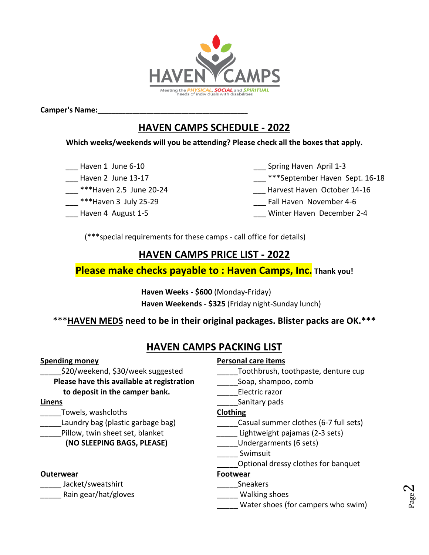

**Camper's Name:\_\_\_\_\_\_\_\_\_\_\_\_\_\_\_\_\_\_\_\_\_\_\_\_\_\_\_\_\_\_\_\_\_\_\_\_\_\_\_\_\_\_\_**

# **HAVEN CAMPS SCHEDULE - 2022**

### **Which weeks/weekends will you be attending? Please check all the boxes that apply.**

- 
- 
- 
- 
- 

Haven 1 June 6-10 **Example 20 Spring Haven April 1-3** 

- Haven 2 June 13-17 **Example 2 September Haven Sept. 16-18**
- \*\*\*Haven 2.5 June 20-24 **Example 20-24** Harvest Haven October 14-16
- \*\*\*Haven 3 July 25-29 **Example 20** Fall Haven November 4-6
- Haven 4 August 1-5 **Markor 19 August 1-5** and Winter Haven December 2-4

(\*\*\*special requirements for these camps - call office for details)

## **HAVEN CAMPS PRICE LIST - 2022**

## **Please make checks payable to : Haven Camps, Inc. Thank you!**

**Haven Weeks - \$600** (Monday-Friday) **Haven Weekends - \$325** (Friday night-Sunday lunch)

## \*\*\***HAVEN MEDS need to be in their original packages. Blister packs are OK.\*\*\***

## **HAVEN CAMPS PACKING LIST**

**Please have this available at registration** Soap, shampoo, comb **to deposit in the camper bank.** Electric razor

\_\_\_\_\_Towels, washcloths **Clothing**

### **(NO SLEEPING BAGS, PLEASE)** \_\_\_\_\_Undergarments (6 sets)

### **Outerwear Footwear**

\_\_\_\_\_ Jacket/sweatshirt \_\_\_\_\_Sneakers

Rain gear/hat/gloves extending should be a Walking shoes

### **Spending money Personal care items**

- \_\_\_\_\_\$20/weekend, \$30/week suggested \_\_\_\_\_Toothbrush, toothpaste, denture cup
	-
	-
- **Linens Linens Linens Linens Constanting** *Linens* **Constanting** *Sanitary pads*

- Laundry bag (plastic garbage bag) entitled as Casual summer clothes (6-7 full sets)
- pillow, twin sheet set, blanket **Exercise Sets**) Lightweight pajamas (2-3 sets)
	-
	- \_\_\_\_\_ Swimsuit
		- \_\_\_\_\_Optional dressy clothes for banquet

- 
- 
- Water shoes (for campers who swim)

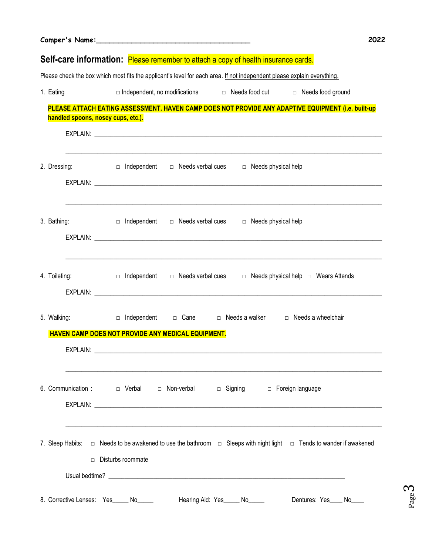| Camper's Name:                     |                                                                                                                                                           |  |
|------------------------------------|-----------------------------------------------------------------------------------------------------------------------------------------------------------|--|
|                                    | Self-care information: Please remember to attach a copy of health insurance cards.                                                                        |  |
|                                    | Please check the box which most fits the applicant's level for each area. If not independent please explain everything.                                   |  |
| 1. Eating                          | $\Box$ Independent, no modifications $\Box$ Needs food cut $\Box$ Needs food ground                                                                       |  |
|                                    | PLEASE ATTACH EATING ASSESSMENT. HAVEN CAMP DOES NOT PROVIDE ANY ADAPTIVE EQUIPMENT (i.e. built-up                                                        |  |
| handled spoons, nosey cups, etc.). |                                                                                                                                                           |  |
|                                    |                                                                                                                                                           |  |
|                                    | 2. Dressing: $\square$ Independent $\square$ Needs verbal cues $\square$ Needs physical help                                                              |  |
|                                    |                                                                                                                                                           |  |
|                                    |                                                                                                                                                           |  |
|                                    | 3. Bathing: $\Box$ Independent $\Box$ Needs verbal cues $\Box$ Needs physical help                                                                        |  |
|                                    |                                                                                                                                                           |  |
|                                    | <u> 1999 - Johann John Stone, mars and deutscher Stone (1990)</u>                                                                                         |  |
|                                    | 4. Toileting: $\Box$ Independent $\Box$ Needs verbal cues $\Box$ Needs physical help $\Box$ Wears Attends                                                 |  |
|                                    |                                                                                                                                                           |  |
|                                    | 5. Walking: $\Box$ Independent $\Box$ Cane $\Box$ Needs a walker $\Box$ Needs a wheelchair                                                                |  |
|                                    | HAVEN CAMP DOES NOT PROVIDE ANY MEDICAL EQUIPMENT.                                                                                                        |  |
| EXPLAIN:                           |                                                                                                                                                           |  |
|                                    |                                                                                                                                                           |  |
|                                    | 6. Communication : $\Box$ Verbal $\Box$ Non-verbal $\Box$ Signing $\Box$ Foreign language                                                                 |  |
|                                    |                                                                                                                                                           |  |
|                                    |                                                                                                                                                           |  |
|                                    |                                                                                                                                                           |  |
|                                    | 7. Sleep Habits: $\Box$ Needs to be awakened to use the bathroom $\Box$ Sleeps with night light $\Box$ Tends to wander if awakened<br>□ Disturbs roommate |  |
|                                    |                                                                                                                                                           |  |
|                                    |                                                                                                                                                           |  |
|                                    | 8. Corrective Lenses: Yes_____ No_____<br>Hearing Aid: Yes_____ No_____<br>Dentures: Yes____ No____                                                       |  |

Page ო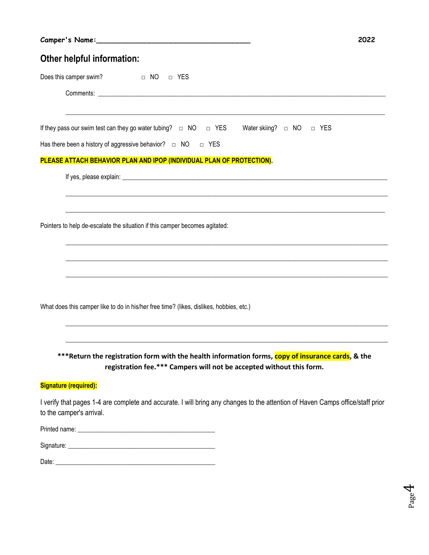Page 4

### **Other helpful information:**

Does this camper swim? □ NO □ YES

Comments: \_\_\_\_\_\_\_\_\_\_\_\_\_\_\_\_\_\_\_\_\_\_\_\_\_\_\_\_\_\_\_\_\_\_\_\_\_\_\_\_\_\_\_\_\_\_\_\_\_\_\_\_\_\_\_\_\_\_\_\_\_\_\_\_\_\_\_\_\_\_\_\_\_\_\_\_\_\_\_\_\_\_\_\_\_\_\_\_\_\_

If they pass our swim test can they go water tubing? □ NO □ YES Water skiing? □ NO □ YES

 $\_$  , and the set of the set of the set of the set of the set of the set of the set of the set of the set of the set of the set of the set of the set of the set of the set of the set of the set of the set of the set of th

 $\mathcal{L}_\text{max} = \frac{1}{2} \sum_{i=1}^{n} \frac{1}{2} \sum_{i=1}^{n} \frac{1}{2} \sum_{i=1}^{n} \frac{1}{2} \sum_{i=1}^{n} \frac{1}{2} \sum_{i=1}^{n} \frac{1}{2} \sum_{i=1}^{n} \frac{1}{2} \sum_{i=1}^{n} \frac{1}{2} \sum_{i=1}^{n} \frac{1}{2} \sum_{i=1}^{n} \frac{1}{2} \sum_{i=1}^{n} \frac{1}{2} \sum_{i=1}^{n} \frac{1}{2} \sum_{i=1}^{n} \frac{1$ 

 $\_$  ,  $\_$  ,  $\_$  ,  $\_$  ,  $\_$  ,  $\_$  ,  $\_$  ,  $\_$  ,  $\_$  ,  $\_$  ,  $\_$  ,  $\_$  ,  $\_$  ,  $\_$  ,  $\_$  ,  $\_$  ,  $\_$  ,  $\_$  ,  $\_$  ,  $\_$  ,  $\_$  ,  $\_$  ,  $\_$  ,  $\_$  ,  $\_$  ,  $\_$  ,  $\_$  ,  $\_$  ,  $\_$  ,  $\_$  ,  $\_$  ,  $\_$  ,  $\_$  ,  $\_$  ,  $\_$  ,  $\_$  ,  $\_$  ,

 $\_$  , and the set of the set of the set of the set of the set of the set of the set of the set of the set of the set of the set of the set of the set of the set of the set of the set of the set of the set of the set of th

 $\_$  , and the set of the set of the set of the set of the set of the set of the set of the set of the set of the set of the set of the set of the set of the set of the set of the set of the set of the set of the set of th

\_\_\_\_\_\_\_\_\_\_\_\_\_\_\_\_\_\_\_\_\_\_\_\_\_\_\_\_\_\_\_\_\_\_\_\_\_\_\_\_\_\_\_\_\_\_\_\_\_\_\_\_\_\_\_\_\_\_\_\_\_\_\_\_\_\_\_\_\_\_\_\_\_\_\_\_\_\_\_\_\_\_\_\_\_\_\_\_\_\_\_\_\_\_\_\_\_\_\_\_\_

 $\_$  ,  $\_$  ,  $\_$  ,  $\_$  ,  $\_$  ,  $\_$  ,  $\_$  ,  $\_$  ,  $\_$  ,  $\_$  ,  $\_$  ,  $\_$  ,  $\_$  ,  $\_$  ,  $\_$  ,  $\_$  ,  $\_$  ,  $\_$  ,  $\_$  ,  $\_$  ,  $\_$  ,  $\_$  ,  $\_$  ,  $\_$  ,  $\_$  ,  $\_$  ,  $\_$  ,  $\_$  ,  $\_$  ,  $\_$  ,  $\_$  ,  $\_$  ,  $\_$  ,  $\_$  ,  $\_$  ,  $\_$  ,  $\_$  ,

 $\_$  , and the set of the set of the set of the set of the set of the set of the set of the set of the set of the set of the set of the set of the set of the set of the set of the set of the set of the set of the set of th

Has there been a history of aggressive behavior?  $□$  NO  $□$  YES

#### **PLEASE ATTACH BEHAVIOR PLAN AND IPOP (INDIVIDUAL PLAN OF PROTECTION).**

If yes, please explain: \_\_\_\_\_\_\_\_\_\_\_\_\_\_\_\_\_\_\_\_\_\_\_\_\_\_\_\_\_\_\_\_\_\_\_\_\_\_\_\_\_\_\_\_\_\_\_\_\_\_\_\_\_\_\_\_\_\_\_\_\_\_\_\_\_\_\_\_\_\_\_\_\_\_\_\_\_\_\_\_\_\_\_

Pointers to help de-escalate the situation if this camper becomes agitated:

What does this camper like to do in his/her free time? (likes, dislikes, hobbies, etc.)

**\*\*\*Return the registration form with the health information forms, copy of insurance cards, & the registration fee.\*\*\* Campers will not be accepted without this form.**

#### **Signature (required):**

I verify that pages 1-4 are complete and accurate. I will bring any changes to the attention of Haven Camps office/staff prior to the camper's arrival.

| Printed name: |  |  |
|---------------|--|--|
|               |  |  |
| Signature:    |  |  |

| Date: |  |
|-------|--|
| wuw.  |  |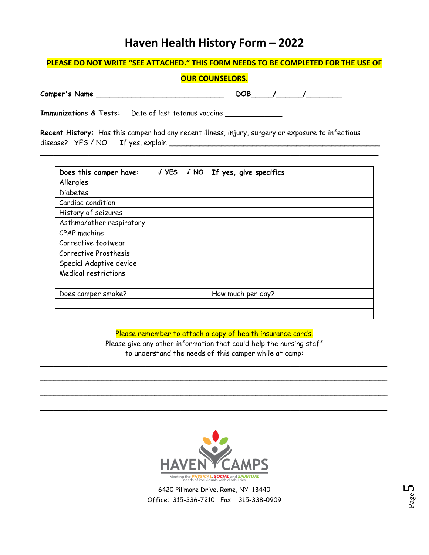# **Haven Health History Form – 2022**

#### **PLEASE DO NOT WRITE "SEE ATTACHED." THIS FORM NEEDS TO BE COMPLETED FOR THE USE OF**

#### **OUR COUNSELORS.**

**Camper's Name \_\_\_\_\_\_\_\_\_\_\_\_\_\_\_\_\_\_\_\_\_\_\_\_\_\_\_\_\_ DOB\_\_\_\_\_/\_\_\_\_\_\_/\_\_\_\_\_\_\_\_**

**Immunizations & Tests:** Date of last tetanus vaccine \_\_\_\_\_\_\_\_\_\_\_\_\_

**Recent History:** Has this camper had any recent illness, injury, surgery or exposure to infectious disease? YES / NO If yes, explain \_\_\_\_\_\_\_\_\_\_\_\_\_\_\_\_\_\_\_\_\_\_\_\_\_\_\_\_\_\_\_\_\_\_\_\_\_\_\_\_\_\_\_\_\_\_\_\_

\_\_\_\_\_\_\_\_\_\_\_\_\_\_\_\_\_\_\_\_\_\_\_\_\_\_\_\_\_\_\_\_\_\_\_\_\_\_\_\_\_\_\_\_\_\_\_\_\_\_\_\_\_\_\_\_\_\_\_\_\_\_\_\_\_\_\_\_\_\_\_\_\_\_\_\_\_

| Does this camper have:   | J YES | JNO | If yes, give specifics |
|--------------------------|-------|-----|------------------------|
| Allergies                |       |     |                        |
| <b>Diabetes</b>          |       |     |                        |
| Cardiac condition        |       |     |                        |
| History of seizures      |       |     |                        |
| Asthma/other respiratory |       |     |                        |
| CPAP machine             |       |     |                        |
| Corrective footwear      |       |     |                        |
| Corrective Prosthesis    |       |     |                        |
| Special Adaptive device  |       |     |                        |
| Medical restrictions     |       |     |                        |
|                          |       |     |                        |
| Does camper smoke?       |       |     | How much per day?      |
|                          |       |     |                        |
|                          |       |     |                        |

Please remember to attach a copy of health insurance cards. Please give any other information that could help the nursing staff to understand the needs of this camper while at camp:

\_\_\_\_\_\_\_\_\_\_\_\_\_\_\_\_\_\_\_\_\_\_\_\_\_\_\_\_\_\_\_\_\_\_\_\_\_\_\_\_\_\_\_\_\_\_\_\_\_\_\_\_\_\_\_\_\_\_\_\_\_\_\_\_\_\_\_\_\_\_\_\_\_\_\_\_\_\_\_

\_\_\_\_\_\_\_\_\_\_\_\_\_\_\_\_\_\_\_\_\_\_\_\_\_\_\_\_\_\_\_\_\_\_\_\_\_\_\_\_\_\_\_\_\_\_\_\_\_\_\_\_\_\_\_\_\_\_\_\_\_\_\_\_\_\_\_\_\_\_\_\_\_\_\_\_\_\_\_

\_\_\_\_\_\_\_\_\_\_\_\_\_\_\_\_\_\_\_\_\_\_\_\_\_\_\_\_\_\_\_\_\_\_\_\_\_\_\_\_\_\_\_\_\_\_\_\_\_\_\_\_\_\_\_\_\_\_\_\_\_\_\_\_\_\_\_\_\_\_\_\_\_\_\_\_\_\_\_

\_\_\_\_\_\_\_\_\_\_\_\_\_\_\_\_\_\_\_\_\_\_\_\_\_\_\_\_\_\_\_\_\_\_\_\_\_\_\_\_\_\_\_\_\_\_\_\_\_\_\_\_\_\_\_\_\_\_\_\_\_\_\_\_\_\_\_\_\_\_\_\_\_\_\_\_\_\_\_



6420 Pillmore Drive, Rome, NY 13440 Office: 315-336-7210 Fax: 315-338-0909

Page ∟∩